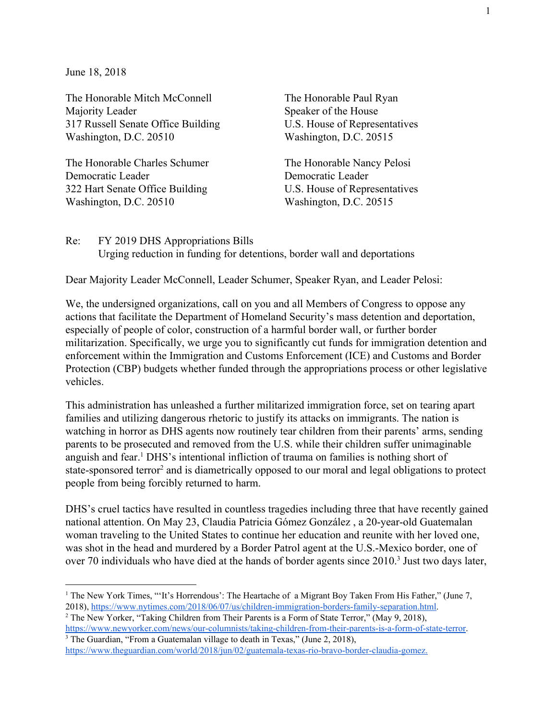June 18, 2018

The Honorable Mitch McConnell Majority Leader 317 Russell Senate Office Building Washington, D.C. 20510

The Honorable Charles Schumer Democratic Leader 322 Hart Senate Office Building Washington, D.C. 20510

The Honorable Paul Ryan Speaker of the House U.S. House of Representatives Washington, D.C. 20515

The Honorable Nancy Pelosi Democratic Leader U.S. House of Representatives Washington, D.C. 20515

Re: FY 2019 DHS Appropriations Bills Urging reduction in funding for detentions, border wall and deportations

Dear Majority Leader McConnell, Leader Schumer, Speaker Ryan, and Leader Pelosi:

We, the undersigned organizations, call on you and all Members of Congress to oppose any actions that facilitate the Department of Homeland Security's mass detention and deportation, especially of people of color, construction of a harmful border wall, or further border militarization. Specifically, we urge you to significantly cut funds for immigration detention and enforcement within the Immigration and Customs Enforcement (ICE) and Customs and Border Protection (CBP) budgets whether funded through the appropriations process or other legislative vehicles.

This administration has unleashed a further militarized immigration force, set on tearing apart families and utilizing dangerous rhetoric to justify its attacks on immigrants. The nation is watching in horror as DHS agents now routinely tear children from their parents' arms, sending parents to be prosecuted and removed from the U.S. while their children suffer unimaginable anguish and fear.<sup>1</sup> DHS's intentional infliction of trauma on families is nothing short of state-sponsored terror<sup>2</sup> and is diametrically opposed to our moral and legal obligations to protect people from being forcibly returned to harm.

DHS's cruel tactics have resulted in countless tragedies including three that have recently gained national attention. On May 23, Claudia Patricia Gómez González , a 20-year-old Guatemalan woman traveling to the United States to continue her education and reunite with her loved one, was shot in the head and murdered by a Border Patrol agent at the U.S.-Mexico border, one of over 70 individuals who have died at the hands of border agents since  $2010$ .<sup>3</sup> Just two days later,

<sup>2</sup> The New Yorker, "Taking Children from Their Parents is a Form of State Terror," (May 9, 2018), <https://www.newyorker.com/news/our-columnists/taking-children-from-their-parents-is-a-form-of-state-terror>. <sup>3</sup> The Guardian, "From a Guatemalan village to death in Texas," (June 2, 2018),

<sup>&</sup>lt;sup>1</sup> The New York Times, "'It's Horrendous': The Heartache of a Migrant Boy Taken From His Father," (June 7, 2018), [https://www.nytimes.com/2018/06/07/us/children-immigration-borders-family-separation.html.](https://www.nytimes.com/2018/06/07/us/children-immigration-borders-family-separation.html)

[https://www.theguardian.com/world/2018/jun/02/guatemala-texas-rio-bravo-border-claudia-gomez.](https://www.theguardian.com/world/2018/jun/02/guatemala-texas-rio-bravo-border-claudia-gomez)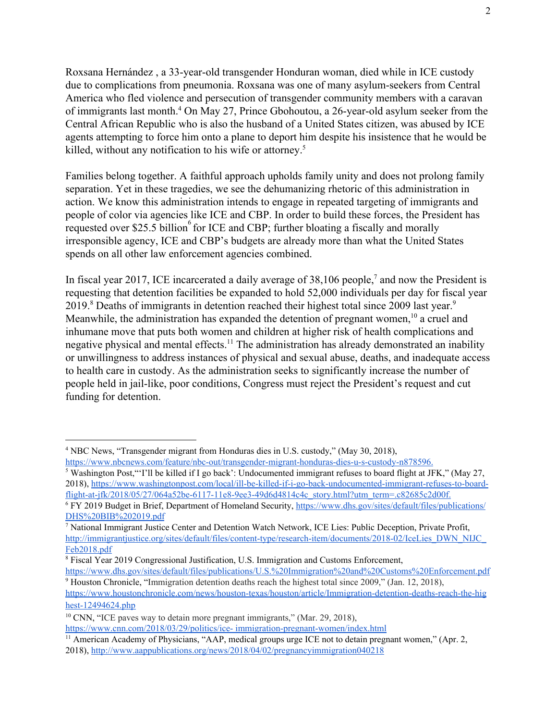Roxsana Hernández , a 33-year-old transgender Honduran woman, died while in ICE custody due to complications from pneumonia. Roxsana was one of many asylum-seekers from Central America who fled violence and persecution of transgender community members with a caravan of immigrants last month.<sup>4</sup> On May 27, Prince Gbohoutou, a 26-year-old asylum seeker from the Central African Republic who is also the husband of a United States citizen, was abused by ICE agents attempting to force him onto a plane to deport him despite his insistence that he would be killed, without any notification to his wife or attorney.<sup>5</sup>

Families belong together. A faithful approach upholds family unity and does not prolong family separation. Yet in these tragedies, we see the dehumanizing rhetoric of this administration in action. We know this administration intends to engage in repeated targeting of immigrants and people of color via agencies like ICE and CBP. In order to build these forces, the President has requested over \$25.5 billion $\degree$  for ICE and CBP; further bloating a fiscally and morally irresponsible agency, ICE and CBP's budgets are already more than what the United States spends on all other law enforcement agencies combined.

In fiscal year 2017, ICE incarcerated a daily average of  $38,106$  people,<sup>7</sup> and now the President is requesting that detention facilities be expanded to hold 52,000 individuals per day for fiscal year 2019.<sup>8</sup> Deaths of immigrants in detention reached their highest total since 2009 last year.<sup>9</sup> Meanwhile, the administration has expanded the detention of pregnant women,  $10$  a cruel and inhumane move that puts both women and children at higher risk of health complications and negative physical and mental effects.<sup>11</sup> The administration has already demonstrated an inability or unwillingness to address instances of physical and sexual abuse, deaths, and inadequate access to health care in custody. As the administration seeks to significantly increase the number of people held in jail-like, poor conditions, Congress must reject the President's request and cut funding for detention.

<sup>4</sup> NBC News, "Transgender migrant from Honduras dies in U.S. custody," (May 30, 2018), [https://www.nbcnews.com/feature/nbc-out/transgender-migrant-honduras-dies-u-s-custody-n878596.](https://www.nbcnews.com/feature/nbc-out/transgender-migrant-honduras-dies-u-s-custody-n878596)

<sup>5</sup> Washington Post,"'I'll be killed if I go back': Undocumented immigrant refuses to board flight at JFK," (May 27, 2018), [https://www.washingtonpost.com/local/ill-be-killed-if-i-go-back-undocumented-immigrant-refuses-to-board](https://www.washingtonpost.com/local/ill-be-killed-if-i-go-back-undocumented-immigrant-refuses-to-board-flight-at-jfk/2018/05/27/064a52be-6117-11e8-9ee3-49d6d4814c4c_story.html?utm_term=.c82685c2d00f)[flight-at-jfk/2018/05/27/064a52be-6117-11e8-9ee3-49d6d4814c4c\\_story.html?utm\\_term=.c82685c2d00f.](https://www.washingtonpost.com/local/ill-be-killed-if-i-go-back-undocumented-immigrant-refuses-to-board-flight-at-jfk/2018/05/27/064a52be-6117-11e8-9ee3-49d6d4814c4c_story.html?utm_term=.c82685c2d00f)

<sup>6</sup> FY 2019 Budget in Brief, Department of Homeland Security, [https://www.dhs.gov/sites/default/files/publications/](https://www.dhs.gov/sites/default/files/publications/DHS%20BIB%202019.pdf) [DHS%20BIB%202019.pdf](https://www.dhs.gov/sites/default/files/publications/DHS%20BIB%202019.pdf)

<sup>7</sup> National Immigrant Justice Center and Detention Watch Network, ICE Lies: Public Deception, Private Profit, [http://immigrantjustice.org/sites/default/files/content-type/research-item/documents/2018-02/IceLies\\_DWN\\_NIJC\\_](http://immigrantjustice.org/sites/default/files/content-type/research-item/documents/2018-02/IceLies_DWN_NIJC_Feb2018.pdf) [Feb2018.pdf](http://immigrantjustice.org/sites/default/files/content-type/research-item/documents/2018-02/IceLies_DWN_NIJC_Feb2018.pdf)

<sup>8</sup> Fiscal Year 2019 Congressional Justification, U.S. Immigration and Customs Enforcement,

<https://www.dhs.gov/sites/default/files/publications/U.S.%20Immigration%20and%20Customs%20Enforcement.pdf> <sup>9</sup> Houston Chronicle, "Immigration detention deaths reach the highest total since 2009," (Jan. 12, 2018),

[https://www.houstonchronicle.com/news/houston-texas/houston/article/Immigration-detention-deaths-reach-the-hig](https://www.houstonchronicle.com/news/houston-texas/houston/article/Immigration-detention-deaths-reach-the-highest-12494624.php) [hest-12494624.php](https://www.houstonchronicle.com/news/houston-texas/houston/article/Immigration-detention-deaths-reach-the-highest-12494624.php)

<sup>&</sup>lt;sup>10</sup> CNN, "ICE paves way to detain more pregnant immigrants," (Mar. 29, 2018). [https://www.cnn.com/2018/03/29/politics/ice-](https://www.cnn.com/2018/03/29/politics/ice-immigration-pregnant-women/index.html) immigration-pregnant-women/index.html

<sup>&</sup>lt;sup>11</sup> American Academy of Physicians, "AAP, medical groups urge ICE not to detain pregnant women," (Apr. 2, 2018), <http://www.aappublications.org/news/2018/04/02/pregnancyimmigration040218>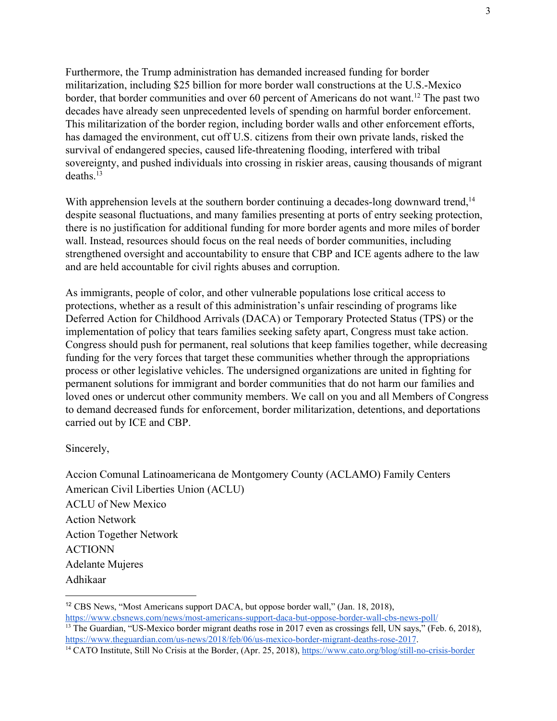Furthermore, the Trump administration has demanded increased funding for border militarization, including \$25 billion for more border wall constructions at the U.S.-Mexico border, that border communities and over 60 percent of Americans do not want.<sup>12</sup> The past two decades have already seen unprecedented levels of spending on harmful border enforcement. This militarization of the border region, including border walls and other enforcement efforts, has damaged the environment, cut off U.S. citizens from their own private lands, risked the survival of endangered species, caused life-threatening flooding, interfered with tribal sovereignty, and pushed individuals into crossing in riskier areas, causing thousands of migrant deaths $13$ 

With apprehension levels at the southern border continuing a decades-long downward trend,<sup>14</sup> despite seasonal fluctuations, and many families presenting at ports of entry seeking protection, there is no justification for additional funding for more border agents and more miles of border wall. Instead, resources should focus on the real needs of border communities, including strengthened oversight and accountability to ensure that CBP and ICE agents adhere to the law and are held accountable for civil rights abuses and corruption.

As immigrants, people of color, and other vulnerable populations lose critical access to protections, whether as a result of this administration's unfair rescinding of programs like Deferred Action for Childhood Arrivals (DACA) or Temporary Protected Status (TPS) or the implementation of policy that tears families seeking safety apart, Congress must take action. Congress should push for permanent, real solutions that keep families together, while decreasing funding for the very forces that target these communities whether through the appropriations process or other legislative vehicles. The undersigned organizations are united in fighting for permanent solutions for immigrant and border communities that do not harm our families and loved ones or undercut other community members. We call on you and all Members of Congress to demand decreased funds for enforcement, border militarization, detentions, and deportations carried out by ICE and CBP.

Sincerely,

Accion Comunal Latinoamericana de Montgomery County (ACLAMO) Family Centers American Civil Liberties Union (ACLU) ACLU of New Mexico Action Network Action Together Network ACTIONN Adelante Mujeres Adhikaar

<sup>12</sup> CBS News, "Most Americans support DACA, but oppose border wall," (Jan. 18, 2018),

<https://www.cbsnews.com/news/most-americans-support-daca-but-oppose-border-wall-cbs-news-poll/> <sup>13</sup> The Guardian, "US-Mexico border migrant deaths rose in 2017 even as crossings fell, UN says," (Feb. 6, 2018), [https://www.theguardian.com/us-news/2018/feb/06/us-mexico-border-migrant-deaths-rose-2017.](https://www.theguardian.com/us-news/2018/feb/06/us-mexico-border-migrant-deaths-rose-2017)

<sup>&</sup>lt;sup>14</sup> CATO Institute, Still No Crisis at the Border, (Apr. 25, 2018), <https://www.cato.org/blog/still-no-crisis-border>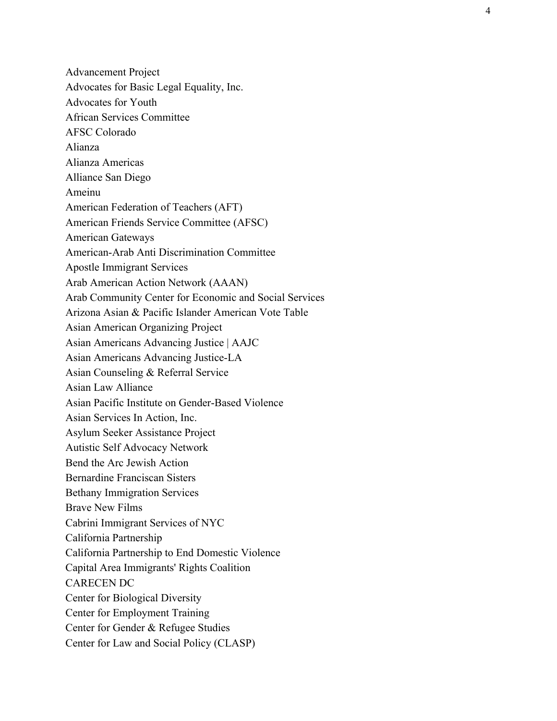Advancement Project Advocates for Basic Legal Equality, Inc. Advocates for Youth African Services Committee AFSC Colorado Alianza Alianza Americas Alliance San Diego Ameinu American Federation of Teachers (AFT) American Friends Service Committee (AFSC) American Gateways American-Arab Anti Discrimination Committee Apostle Immigrant Services Arab American Action Network (AAAN) Arab Community Center for Economic and Social Services Arizona Asian & Pacific Islander American Vote Table Asian American Organizing Project Asian Americans Advancing Justice | AAJC Asian Americans Advancing Justice-LA Asian Counseling & Referral Service Asian Law Alliance Asian Pacific Institute on Gender-Based Violence Asian Services In Action, Inc. Asylum Seeker Assistance Project Autistic Self Advocacy Network Bend the Arc Jewish Action Bernardine Franciscan Sisters Bethany Immigration Services Brave New Films Cabrini Immigrant Services of NYC California Partnership California Partnership to End Domestic Violence Capital Area Immigrants' Rights Coalition CARECEN DC Center for Biological Diversity Center for Employment Training Center for Gender & Refugee Studies Center for Law and Social Policy (CLASP)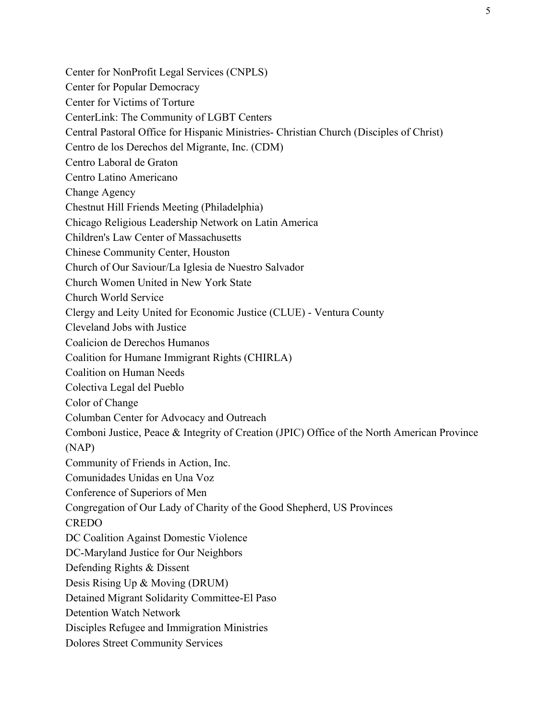Center for NonProfit Legal Services (CNPLS)

- Center for Popular Democracy
- Center for Victims of Torture
- CenterLink: The Community of LGBT Centers
- Central Pastoral Office for Hispanic Ministries- Christian Church (Disciples of Christ)
- Centro de los Derechos del Migrante, Inc. (CDM)
- Centro Laboral de Graton
- Centro Latino Americano
- Change Agency
- Chestnut Hill Friends Meeting (Philadelphia)
- Chicago Religious Leadership Network on Latin America
- Children's Law Center of Massachusetts
- Chinese Community Center, Houston
- Church of Our Saviour/La Iglesia de Nuestro Salvador
- Church Women United in New York State
- Church World Service
- Clergy and Leity United for Economic Justice (CLUE) Ventura County
- Cleveland Jobs with Justice
- Coalicion de Derechos Humanos
- Coalition for Humane Immigrant Rights (CHIRLA)
- Coalition on Human Needs
- Colectiva Legal del Pueblo
- Color of Change
- Columban Center for Advocacy and Outreach
- Comboni Justice, Peace & Integrity of Creation (JPIC) Office of the North American Province (NAP)
- Community of Friends in Action, Inc.
- Comunidades Unidas en Una Voz
- Conference of Superiors of Men
- Congregation of Our Lady of Charity of the Good Shepherd, US Provinces
- **CREDO**
- DC Coalition Against Domestic Violence
- DC-Maryland Justice for Our Neighbors
- Defending Rights & Dissent
- Desis Rising Up & Moving (DRUM)
- Detained Migrant Solidarity Committee-El Paso
- Detention Watch Network
- Disciples Refugee and Immigration Ministries
- Dolores Street Community Services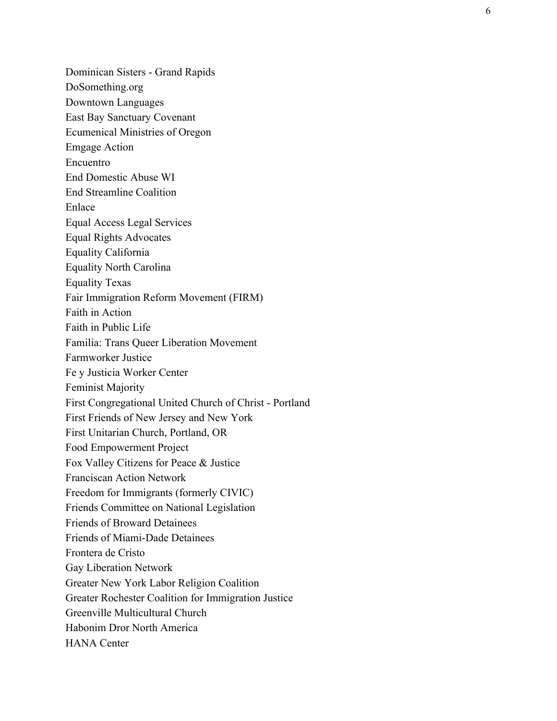Dominican Sisters - Grand Rapids DoSomething.org Downtown Languages East Bay Sanctuary Covenant Ecumenical Ministries of Oregon Emgage Action Encuentro End Domestic Abuse WI End Streamline Coalition Enlace Equal Access Legal Services Equal Rights Advocates Equality California Equality North Carolina Equality Texas Fair Immigration Reform Movement (FIRM) Faith in Action Faith in Public Life Familia: Trans Queer Liberation Movement Farmworker Justice Fe y Justicia Worker Center Feminist Majority First Congregational United Church of Christ - Portland First Friends of New Jersey and New York First Unitarian Church, Portland, OR Food Empowerment Project Fox Valley Citizens for Peace & Justice Franciscan Action Network Freedom for Immigrants (formerly CIVIC) Friends Committee on National Legislation Friends of Broward Detainees Friends of Miami-Dade Detainees Frontera de Cristo Gay Liberation Network Greater New York Labor Religion Coalition Greater Rochester Coalition for Immigration Justice Greenville Multicultural Church Habonim Dror North America HANA Center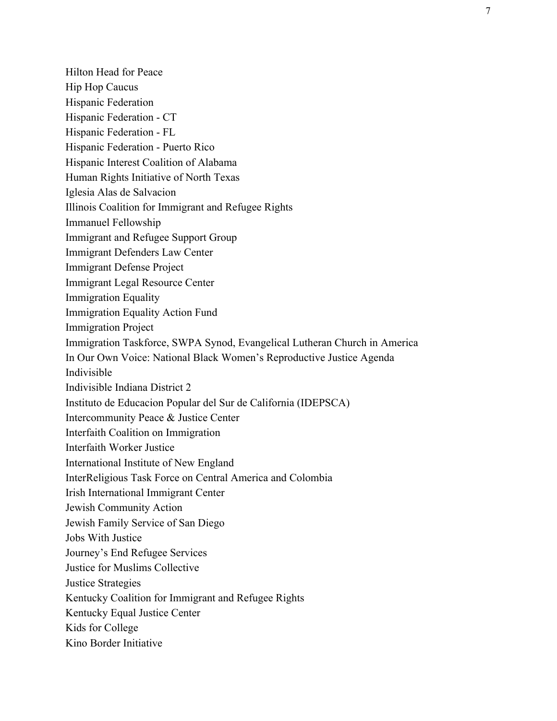Hilton Head for Peace Hip Hop Caucus Hispanic Federation Hispanic Federation - CT Hispanic Federation - FL Hispanic Federation - Puerto Rico Hispanic Interest Coalition of Alabama Human Rights Initiative of North Texas Iglesia Alas de Salvacion Illinois Coalition for Immigrant and Refugee Rights Immanuel Fellowship Immigrant and Refugee Support Group Immigrant Defenders Law Center Immigrant Defense Project Immigrant Legal Resource Center Immigration Equality Immigration Equality Action Fund Immigration Project Immigration Taskforce, SWPA Synod, Evangelical Lutheran Church in America In Our Own Voice: National Black Women's Reproductive Justice Agenda Indivisible Indivisible Indiana District 2 Instituto de Educacion Popular del Sur de California (IDEPSCA) Intercommunity Peace & Justice Center Interfaith Coalition on Immigration Interfaith Worker Justice International Institute of New England InterReligious Task Force on Central America and Colombia Irish International Immigrant Center Jewish Community Action Jewish Family Service of San Diego Jobs With Justice Journey's End Refugee Services Justice for Muslims Collective Justice Strategies Kentucky Coalition for Immigrant and Refugee Rights Kentucky Equal Justice Center Kids for College Kino Border Initiative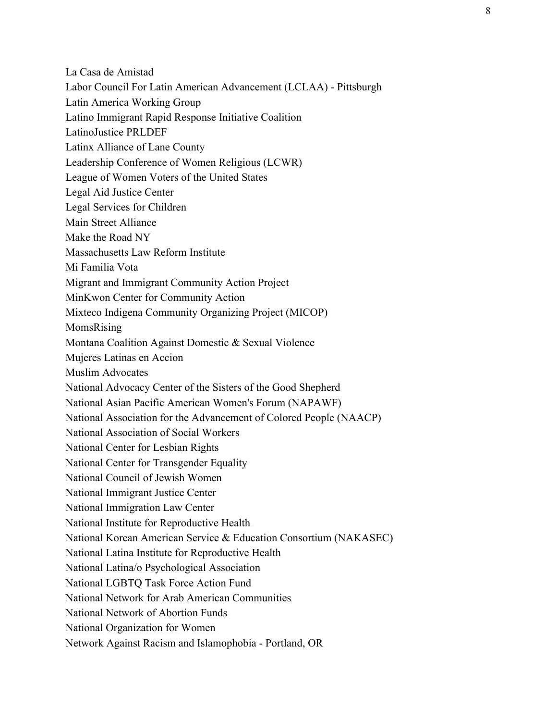La Casa de Amistad

Labor Council For Latin American Advancement (LCLAA) - Pittsburgh

Latin America Working Group

Latino Immigrant Rapid Response Initiative Coalition

LatinoJustice PRLDEF

Latinx Alliance of Lane County

Leadership Conference of Women Religious (LCWR)

League of Women Voters of the United States

Legal Aid Justice Center

Legal Services for Children

Main Street Alliance

Make the Road NY

Massachusetts Law Reform Institute

Mi Familia Vota

Migrant and Immigrant Community Action Project

MinKwon Center for Community Action

Mixteco Indigena Community Organizing Project (MICOP)

MomsRising

Montana Coalition Against Domestic & Sexual Violence

Mujeres Latinas en Accion

Muslim Advocates

National Advocacy Center of the Sisters of the Good Shepherd

National Asian Pacific American Women's Forum (NAPAWF)

National Association for the Advancement of Colored People (NAACP)

National Association of Social Workers

National Center for Lesbian Rights

National Center for Transgender Equality

National Council of Jewish Women

National Immigrant Justice Center

National Immigration Law Center

National Institute for Reproductive Health

National Korean American Service & Education Consortium (NAKASEC)

National Latina Institute for Reproductive Health

National Latina/o Psychological Association

National LGBTQ Task Force Action Fund

National Network for Arab American Communities

National Network of Abortion Funds

National Organization for Women

Network Against Racism and Islamophobia - Portland, OR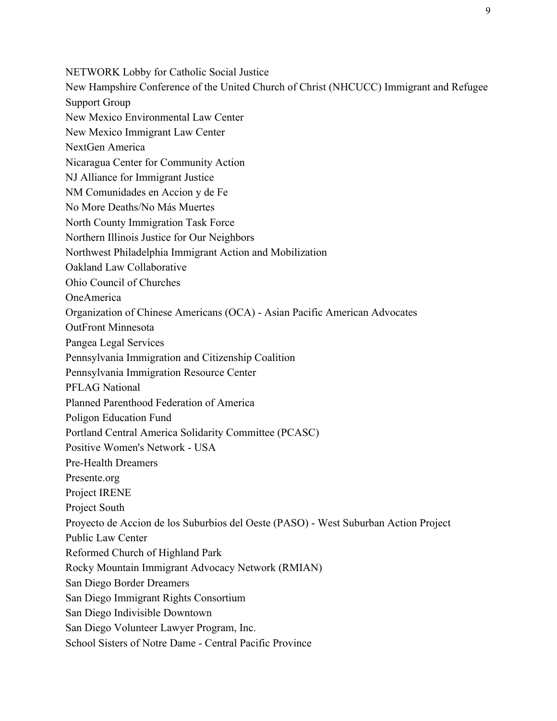NETWORK Lobby for Catholic Social Justice New Hampshire Conference of the United Church of Christ (NHCUCC) Immigrant and Refugee Support Group New Mexico Environmental Law Center New Mexico Immigrant Law Center NextGen America Nicaragua Center for Community Action NJ Alliance for Immigrant Justice NM Comunidades en Accion y de Fe No More Deaths/No Más Muertes North County Immigration Task Force Northern Illinois Justice for Our Neighbors Northwest Philadelphia Immigrant Action and Mobilization Oakland Law Collaborative Ohio Council of Churches OneAmerica Organization of Chinese Americans (OCA) - Asian Pacific American Advocates OutFront Minnesota Pangea Legal Services Pennsylvania Immigration and Citizenship Coalition Pennsylvania Immigration Resource Center PFLAG National Planned Parenthood Federation of America Poligon Education Fund Portland Central America Solidarity Committee (PCASC) Positive Women's Network - USA Pre-Health Dreamers Presente.org Project IRENE Project South Proyecto de Accion de los Suburbios del Oeste (PASO) - West Suburban Action Project Public Law Center Reformed Church of Highland Park Rocky Mountain Immigrant Advocacy Network (RMIAN) San Diego Border Dreamers San Diego Immigrant Rights Consortium San Diego Indivisible Downtown San Diego Volunteer Lawyer Program, Inc. School Sisters of Notre Dame - Central Pacific Province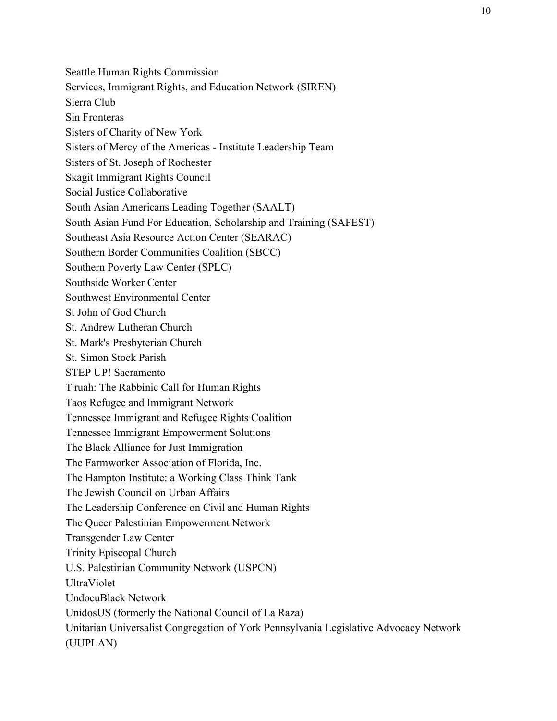Seattle Human Rights Commission Services, Immigrant Rights, and Education Network (SIREN) Sierra Club Sin Fronteras Sisters of Charity of New York Sisters of Mercy of the Americas - Institute Leadership Team Sisters of St. Joseph of Rochester Skagit Immigrant Rights Council Social Justice Collaborative South Asian Americans Leading Together (SAALT) South Asian Fund For Education, Scholarship and Training (SAFEST) Southeast Asia Resource Action Center (SEARAC) Southern Border Communities Coalition (SBCC) Southern Poverty Law Center (SPLC) Southside Worker Center Southwest Environmental Center St John of God Church St. Andrew Lutheran Church St. Mark's Presbyterian Church St. Simon Stock Parish STEP UP! Sacramento T'ruah: The Rabbinic Call for Human Rights Taos Refugee and Immigrant Network Tennessee Immigrant and Refugee Rights Coalition Tennessee Immigrant Empowerment Solutions The Black Alliance for Just Immigration The Farmworker Association of Florida, Inc. The Hampton Institute: a Working Class Think Tank The Jewish Council on Urban Affairs The Leadership Conference on Civil and Human Rights The Queer Palestinian Empowerment Network Transgender Law Center Trinity Episcopal Church U.S. Palestinian Community Network (USPCN) UltraViolet UndocuBlack Network UnidosUS (formerly the National Council of La Raza) Unitarian Universalist Congregation of York Pennsylvania Legislative Advocacy Network (UUPLAN)